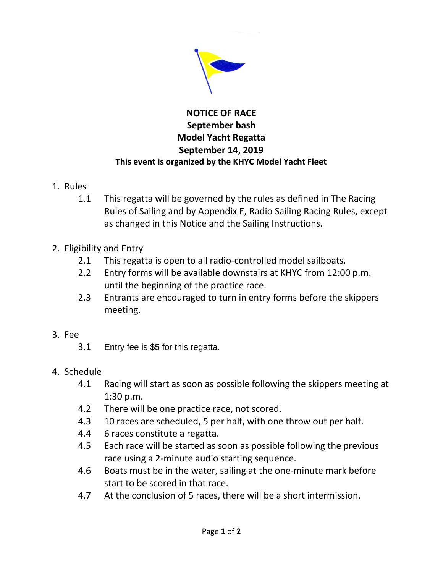

## **NOTICE OF RACE September bash Model Yacht Regatta September 14, 2019 This event is organized by the KHYC Model Yacht Fleet**

- 1. Rules
	- 1.1 This regatta will be governed by the rules as defined in The Racing Rules of Sailing and by Appendix E, Radio Sailing Racing Rules, except as changed in this Notice and the Sailing Instructions.
- 2. Eligibility and Entry
	- 2.1 This regatta is open to all radio-controlled model sailboats.
	- 2.2 Entry forms will be available downstairs at KHYC from 12:00 p.m. until the beginning of the practice race.
	- 2.3 Entrants are encouraged to turn in entry forms before the skippers meeting.
- 3. Fee
	- 3.1 Entry fee is \$5 for this regatta.
- 4. Schedule
	- 4.1 Racing will start as soon as possible following the skippers meeting at 1:30 p.m.
	- 4.2 There will be one practice race, not scored.
	- 4.3 10 races are scheduled, 5 per half, with one throw out per half.
	- 4.4 6 races constitute a regatta.
	- 4.5 Each race will be started as soon as possible following the previous race using a 2-minute audio starting sequence.
	- 4.6 Boats must be in the water, sailing at the one-minute mark before start to be scored in that race.
	- 4.7 At the conclusion of 5 races, there will be a short intermission.